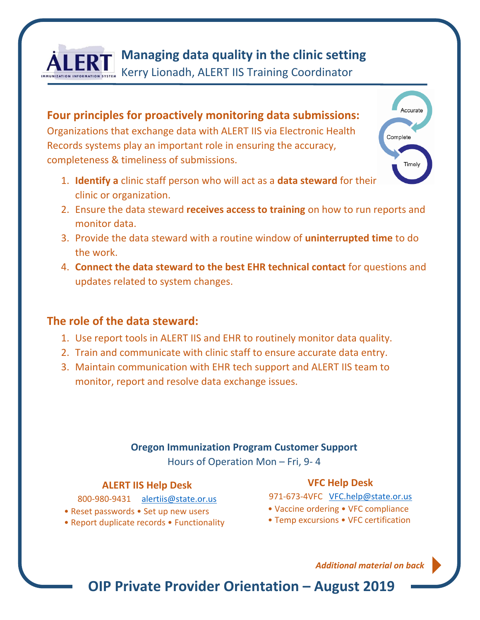

## **Managing data quality in the clinic setting**

Kerry Lionadh, ALERT IIS Training Coordinator

**Four principles for proactively monitoring data submissions:**  Organizations that exchange data with ALERT IIS via Electronic Health Records systems play an important role in ensuring the accuracy, completeness & timeliness of submissions.

- 1. **Identify a** clinic staff person who will act as a **data steward** for their clinic or organization.
- 2. Ensure the data steward **receives access to training** on how to run reports and monitor data.
- 3. Provide the data steward with a routine window of **uninterrupted time** to do the work.
- 4. **Connect the data steward to the best EHR technical contact** for questions and updates related to system changes.

### **The role of the data steward:**

- 1. Use report tools in ALERT IIS and EHR to routinely monitor data quality.
- 2. Train and communicate with clinic staff to ensure accurate data entry.
- 3. Maintain communication with EHR tech support and ALERT IIS team to monitor, report and resolve data exchange issues.

#### **Oregon Immunization Program Customer Support**

Hours of Operation Mon – Fri, 9- 4

#### **ALERT IIS Help Desk**

800-980-9431 [alertiis@state.or.us](mailto:alertiis@state.or.us)

- Reset passwords Set up new users
- Report duplicate records Functionality

#### **VFC Help Desk**

- 971-673-4VFC [VFC.help@state.or.us](mailto:VFC.help@state.or.us)
- Vaccine ordering VFC compliance
- Temp excursions VFC certification

*Additional material on back* 

Accurate

Timely

Complete

**OIP Private Provider Orientation – August 2019**